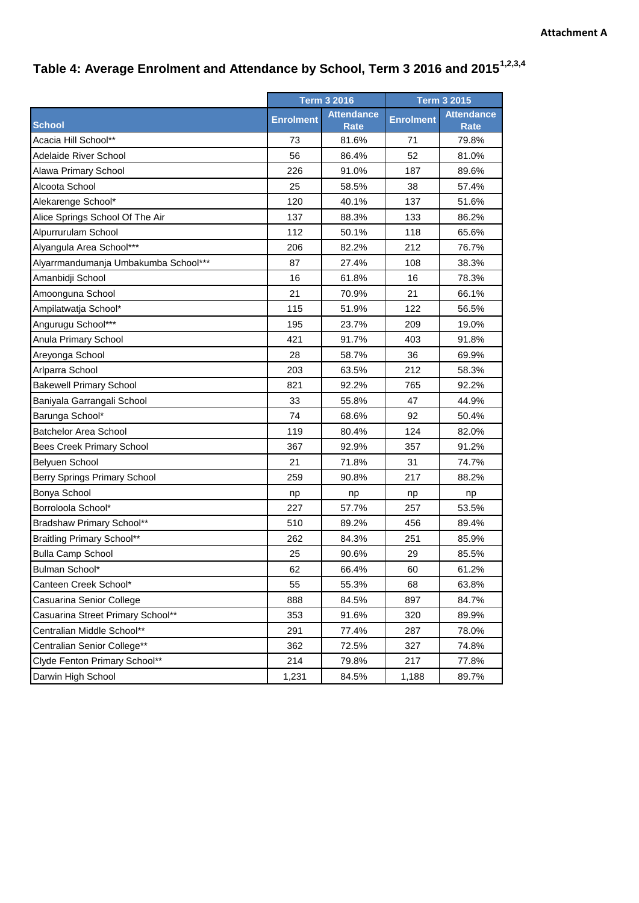## **Table 4: Average Enrolment and Attendance by School, Term 3 2016 and 20151,2,3,4**

|                                      | <b>Term 3 2016</b> |                   | <b>Term 3 2015</b> |                   |
|--------------------------------------|--------------------|-------------------|--------------------|-------------------|
|                                      | <b>Enrolment</b>   | <b>Attendance</b> | <b>Enrolment</b>   | <b>Attendance</b> |
| <b>School</b>                        |                    | <b>Rate</b>       |                    | <b>Rate</b>       |
| Acacia Hill School**                 | 73                 | 81.6%             | 71                 | 79.8%             |
| <b>Adelaide River School</b>         | 56                 | 86.4%             | 52                 | 81.0%             |
| Alawa Primary School                 | 226                | 91.0%             | 187                | 89.6%             |
| Alcoota School                       | 25                 | 58.5%             | 38                 | 57.4%             |
| Alekarenge School*                   | 120                | 40.1%             | 137                | 51.6%             |
| Alice Springs School Of The Air      | 137                | 88.3%             | 133                | 86.2%             |
| Alpurrurulam School                  | 112                | 50.1%             | 118                | 65.6%             |
| Alyangula Area School***             | 206                | 82.2%             | 212                | 76.7%             |
| Alyarrmandumanja Umbakumba School*** | 87                 | 27.4%             | 108                | 38.3%             |
| Amanbidji School                     | 16                 | 61.8%             | 16                 | 78.3%             |
| Amoonguna School                     | 21                 | 70.9%             | 21                 | 66.1%             |
| Ampilatwatja School*                 | 115                | 51.9%             | 122                | 56.5%             |
| Angurugu School***                   | 195                | 23.7%             | 209                | 19.0%             |
| Anula Primary School                 | 421                | 91.7%             | 403                | 91.8%             |
| Areyonga School                      | 28                 | 58.7%             | 36                 | 69.9%             |
| Arlparra School                      | 203                | 63.5%             | 212                | 58.3%             |
| <b>Bakewell Primary School</b>       | 821                | 92.2%             | 765                | 92.2%             |
| Baniyala Garrangali School           | 33                 | 55.8%             | 47                 | 44.9%             |
| Barunga School*                      | 74                 | 68.6%             | 92                 | 50.4%             |
| <b>Batchelor Area School</b>         | 119                | 80.4%             | 124                | 82.0%             |
| <b>Bees Creek Primary School</b>     | 367                | 92.9%             | 357                | 91.2%             |
| Belyuen School                       | 21                 | 71.8%             | 31                 | 74.7%             |
| Berry Springs Primary School         | 259                | 90.8%             | 217                | 88.2%             |
| Bonya School                         | np                 | np                | np                 | np                |
| Borroloola School*                   | 227                | 57.7%             | 257                | 53.5%             |
| Bradshaw Primary School**            | 510                | 89.2%             | 456                | 89.4%             |
| <b>Braitling Primary School**</b>    | 262                | 84.3%             | 251                | 85.9%             |
| <b>Bulla Camp School</b>             | 25                 | 90.6%             | 29                 | 85.5%             |
| Bulman School*                       | 62                 | 66.4%             | 60                 | 61.2%             |
| Canteen Creek School*                | 55                 | 55.3%             | 68                 | 63.8%             |
| Casuarina Senior College             | 888                | 84.5%             | 897                | 84.7%             |
| Casuarina Street Primary School**    | 353                | 91.6%             | 320                | 89.9%             |
| Centralian Middle School**           | 291                | 77.4%             | 287                | 78.0%             |
| Centralian Senior College**          | 362                | 72.5%             | 327                | 74.8%             |
| Clyde Fenton Primary School**        | 214                | 79.8%             | 217                | 77.8%             |
| Darwin High School                   | 1,231              | 84.5%             | 1,188              | 89.7%             |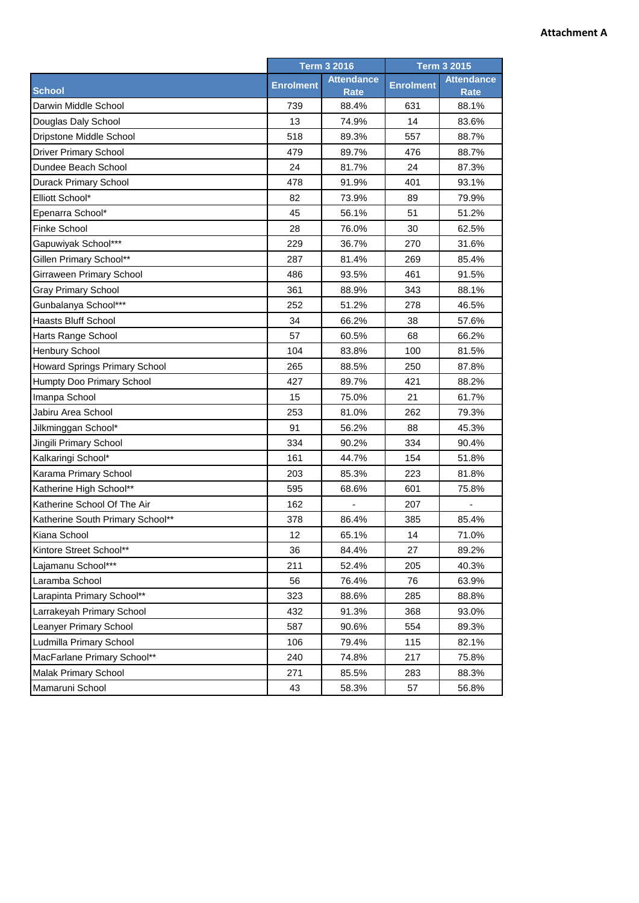## **Attachment A**

|                                  | <b>Term 3 2016</b> |                   | <b>Term 3 2015</b> |                   |
|----------------------------------|--------------------|-------------------|--------------------|-------------------|
|                                  | <b>Enrolment</b>   | <b>Attendance</b> | <b>Enrolment</b>   | <b>Attendance</b> |
| <b>School</b>                    |                    | Rate              |                    | <b>Rate</b>       |
| Darwin Middle School             | 739                | 88.4%             | 631                | 88.1%             |
| Douglas Daly School              | 13                 | 74.9%             | 14                 | 83.6%             |
| Dripstone Middle School          | 518                | 89.3%             | 557                | 88.7%             |
| <b>Driver Primary School</b>     | 479                | 89.7%             | 476                | 88.7%             |
| Dundee Beach School              | 24                 | 81.7%             | 24                 | 87.3%             |
| Durack Primary School            | 478                | 91.9%             | 401                | 93.1%             |
| Elliott School*                  | 82                 | 73.9%             | 89                 | 79.9%             |
| Epenarra School*                 | 45                 | 56.1%             | 51                 | 51.2%             |
| <b>Finke School</b>              | 28                 | 76.0%             | 30                 | 62.5%             |
| Gapuwiyak School***              | 229                | 36.7%             | 270                | 31.6%             |
| Gillen Primary School**          | 287                | 81.4%             | 269                | 85.4%             |
| Girraween Primary School         | 486                | 93.5%             | 461                | 91.5%             |
| <b>Gray Primary School</b>       | 361                | 88.9%             | 343                | 88.1%             |
| Gunbalanya School***             | 252                | 51.2%             | 278                | 46.5%             |
| <b>Haasts Bluff School</b>       | 34                 | 66.2%             | 38                 | 57.6%             |
| Harts Range School               | 57                 | 60.5%             | 68                 | 66.2%             |
| <b>Henbury School</b>            | 104                | 83.8%             | 100                | 81.5%             |
| Howard Springs Primary School    | 265                | 88.5%             | 250                | 87.8%             |
| Humpty Doo Primary School        | 427                | 89.7%             | 421                | 88.2%             |
| Imanpa School                    | 15                 | 75.0%             | 21                 | 61.7%             |
| Jabiru Area School               | 253                | 81.0%             | 262                | 79.3%             |
| Jilkminggan School*              | 91                 | 56.2%             | 88                 | 45.3%             |
| Jingili Primary School           | 334                | 90.2%             | 334                | 90.4%             |
| Kalkaringi School*               | 161                | 44.7%             | 154                | 51.8%             |
| Karama Primary School            | 203                | 85.3%             | 223                | 81.8%             |
| Katherine High School**          | 595                | 68.6%             | 601                | 75.8%             |
| Katherine School Of The Air      | 162                |                   | 207                |                   |
| Katherine South Primary School** | 378                | 86.4%             | 385                | 85.4%             |
| Kiana School                     | 12                 | 65.1%             | 14                 | 71.0%             |
| Kintore Street School**          | 36                 | 84.4%             | 27                 | 89.2%             |
| Lajamanu School***               | 211                | 52.4%             | 205                | 40.3%             |
| Laramba School                   | 56                 | 76.4%             | 76                 | 63.9%             |
| Larapinta Primary School**       | 323                | 88.6%             | 285                | 88.8%             |
| Larrakeyah Primary School        | 432                | 91.3%             | 368                | 93.0%             |
| Leanyer Primary School           | 587                | 90.6%             | 554                | 89.3%             |
| Ludmilla Primary School          | 106                | 79.4%             | 115                | 82.1%             |
| MacFarlane Primary School**      | 240                | 74.8%             | 217                | 75.8%             |
| Malak Primary School             | 271                | 85.5%             | 283                | 88.3%             |
| Mamaruni School                  | 43                 | 58.3%             | 57                 | 56.8%             |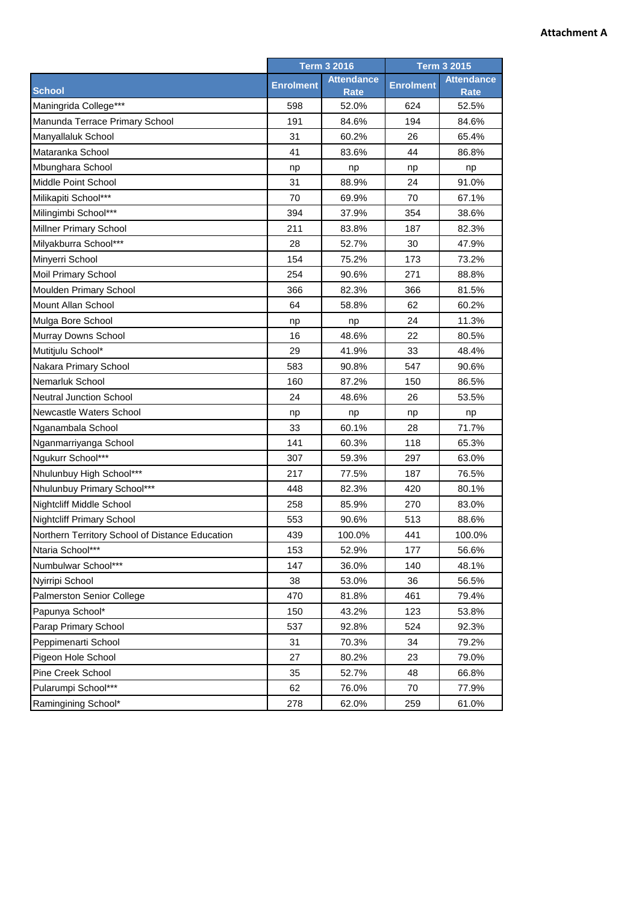## **Attachment A**

|                                                 | <b>Term 3 2016</b> |                   | <b>Term 3 2015</b> |                   |
|-------------------------------------------------|--------------------|-------------------|--------------------|-------------------|
|                                                 | <b>Enrolment</b>   | <b>Attendance</b> | <b>Enrolment</b>   | <b>Attendance</b> |
| <b>School</b>                                   |                    | <b>Rate</b>       |                    | <b>Rate</b>       |
| Maningrida College***                           | 598                | 52.0%             | 624                | 52.5%             |
| Manunda Terrace Primary School                  | 191                | 84.6%             | 194                | 84.6%             |
| Manyallaluk School                              | 31                 | 60.2%             | 26                 | 65.4%             |
| Mataranka School                                | 41                 | 83.6%             | 44                 | 86.8%             |
| Mbunghara School                                | np                 | np                | np                 | np                |
| Middle Point School                             | 31                 | 88.9%             | 24                 | 91.0%             |
| Milikapiti School***                            | 70                 | 69.9%             | 70                 | 67.1%             |
| Milingimbi School***                            | 394                | 37.9%             | 354                | 38.6%             |
| Millner Primary School                          | 211                | 83.8%             | 187                | 82.3%             |
| Milyakburra School***                           | 28                 | 52.7%             | 30                 | 47.9%             |
| Minyerri School                                 | 154                | 75.2%             | 173                | 73.2%             |
| Moil Primary School                             | 254                | 90.6%             | 271                | 88.8%             |
| Moulden Primary School                          | 366                | 82.3%             | 366                | 81.5%             |
| Mount Allan School                              | 64                 | 58.8%             | 62                 | 60.2%             |
| Mulga Bore School                               | np                 | np                | 24                 | 11.3%             |
| Murray Downs School                             | 16                 | 48.6%             | 22                 | 80.5%             |
| Mutitjulu School*                               | 29                 | 41.9%             | 33                 | 48.4%             |
| Nakara Primary School                           | 583                | 90.8%             | 547                | 90.6%             |
| Nemarluk School                                 | 160                | 87.2%             | 150                | 86.5%             |
| <b>Neutral Junction School</b>                  | 24                 | 48.6%             | 26                 | 53.5%             |
| Newcastle Waters School                         | np                 | np                | np                 | np                |
| Nganambala School                               | 33                 | 60.1%             | 28                 | 71.7%             |
| Nganmarriyanga School                           | 141                | 60.3%             | 118                | 65.3%             |
| Ngukurr School***                               | 307                | 59.3%             | 297                | 63.0%             |
| Nhulunbuy High School***                        | 217                | 77.5%             | 187                | 76.5%             |
| Nhulunbuy Primary School***                     | 448                | 82.3%             | 420                | 80.1%             |
| <b>Nightcliff Middle School</b>                 | 258                | 85.9%             | 270                | 83.0%             |
| <b>Nightcliff Primary School</b>                | 553                | 90.6%             | 513                | 88.6%             |
| Northern Territory School of Distance Education | 439                | 100.0%            | 441                | 100.0%            |
| Ntaria School***                                | 153                | 52.9%             | 177                | 56.6%             |
| Numbulwar School***                             | 147                | 36.0%             | 140                | 48.1%             |
| Nyirripi School                                 | 38                 | 53.0%             | 36                 | 56.5%             |
| <b>Palmerston Senior College</b>                | 470                | 81.8%             | 461                | 79.4%             |
| Papunya School*                                 | 150                | 43.2%             | 123                | 53.8%             |
| Parap Primary School                            | 537                | 92.8%             | 524                | 92.3%             |
| Peppimenarti School                             | 31                 | 70.3%             | 34                 | 79.2%             |
| Pigeon Hole School                              | 27                 | 80.2%             | 23                 | 79.0%             |
| Pine Creek School                               | 35                 | 52.7%             | 48                 | 66.8%             |
| Pularumpi School***                             | 62                 | 76.0%             | 70                 | 77.9%             |
| Ramingining School*                             | 278                | 62.0%             | 259                | 61.0%             |